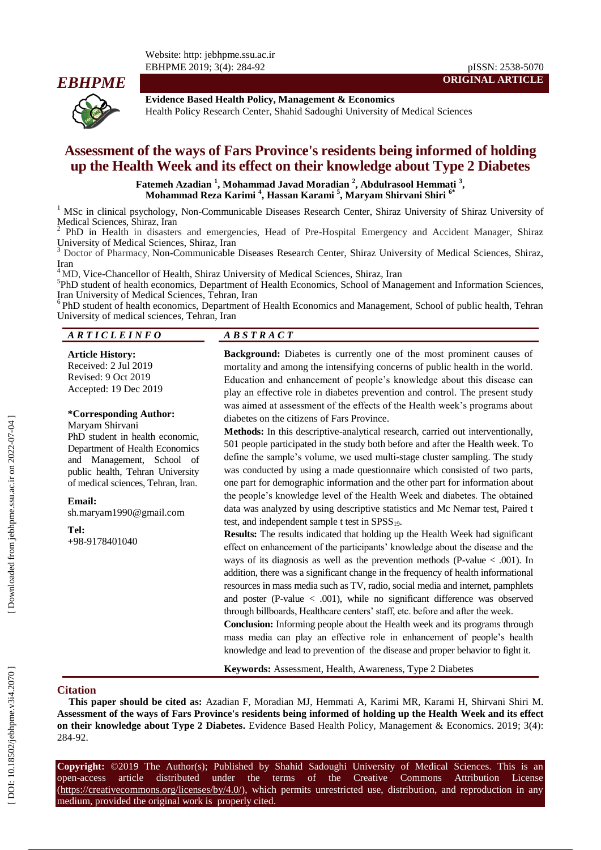Website: http: jebhpme.ssu.ac.ir EBHPME 2019; 3(4): 284 -92 pISSN: 2538 -5070



**Evidence Based Health Policy, Management & Economics**

#### Health Policy Research Center, Shahid Sadoughi University of Medical Sciences

# **Assessment of the ways of Fars Province's residents being informed of holding up the Health Week and its effect on their knowledge about Type 2 Diabetes**

**Fatemeh Azadian 1 , Mohammad Javad Moradian 2 , Abdulrasool Hemmati 3 , Mohammad Reza Karimi 4 , Hassan Karami 5 , Maryam Shirvani Shiri 6\***

<sup>1</sup> MSc in clinical psychology, Non-Communicable Diseases Research Center, Shiraz University of Shiraz University of Medical Sciences, Shiraz, Iran

PhD in Health in disasters and emergencies, Head of Pre -Hospital Emergency and Accident Manager, Shiraz University of Medical Sciences, Shiraz, Iran<br><sup>3</sup> Doctor of Pharmacy, Non-Communicable Diseases Research Center, Shiraz University of Medical Sciences, Shiraz,

Iran<br><sup>4</sup> MD, Vice-Chancellor of Health, Shiraz University of Medical Sciences, Shiraz, Iran

5 PhD student of health economics, Department of Health Economics, School of Management and Information Sciences, Iran University of Medical Sciences, Tehran, Iran <sup>6</sup>

<sup>6</sup>PhD student of health economics, Department of Health Economics and Management, School of public health, Tehran University of medical sciences, Tehran, Iran

#### *A R T I C L E I N F O A B S T R A C T*

#### **Article History:**

Received: 2 Jul 201 9 Revised: 9 Oct 201 9 Accepted: 19 Dec 201 9

## **\*Corresponding Author:**

Maryam Shirvani PhD student in health economic, Department of Health Economics and Management, School of public health, Tehran University of medical sciences, Tehran, Iran .

**Email:**

sh.maryam1990@gmail.com

**Tel:**

+98 -9178401040

**Background:** Diabetes is currently one of the most prominent causes of mortality and among the intensifying concerns of public health in the world. Education and enhancement of people's knowledge about this disease can play an effective role in diabetes prevention and control. The present study was aimed at assessment of the effects of the Health week's programs about diabetes on the citizens of Fars Province.

**ORIGINAL ARTICLE**

**Methods:** In this descriptive -analytical research, carried out interventionally, 501 people participated in the study both before and after the Health week. To define the sample's volume, we used multi -stage cluster sampling. The study was conducted by using a made questionnaire which consisted of two parts, one part for demographic information and the other part for information about the people's knowledge level of the Health Week and diabetes. The obtained data was analyzed by using descriptive statistics and Mc Nemar test, Paired t test, and independent sample  $t$  test in  $SPSS_{19}$ .

**Results:** The results indicated that holding up the Health Week had significant effect on enhancement of the participants' knowledge about the disease and the ways of its diagnosis as well as the prevention methods (P-value  $< .001$ ). In addition, there was a significant change in the frequency of health informational resources in mass media such as TV, radio, social media and internet, pamphlets and poster ( P -value < .001), while no significant difference was observed through billboards, Healthcare centers' staff, etc. before and after the week.

**Conclusion :** Informing people about the Health week and its programs through mass media can play an effective role in enhancement of people's health knowledge and lead to prevention of the disease and proper behavior to fight it.

**Keywords:** Assessment, Health, Awareness, Type 2 Diabetes

#### **Citation**

This paper should be cited as: Azadian F, Moradian MJ, Hemmati A, Karimi MR, Karami H, Shirvani Shiri M. **Assessment of the ways of Fars Province's residents being informed of holding up the Health Week and its effect**  on their knowledge about Type 2 Diabetes. Evidence Based Health Policy, Management & Economics. 2019; 3(4): 284 -92.

**Copyright:** ©201 9 The Author(s); Published by Shahid Sadoughi University of Medical Sciences. This is an open-access -access article distributed under the terms of the Creative Commons Attribution License (https://creativecommons.org/licenses/by/4.0/), which permits unrestricted use, distribution, and reproduction in any medium, provided the original work is properly cited.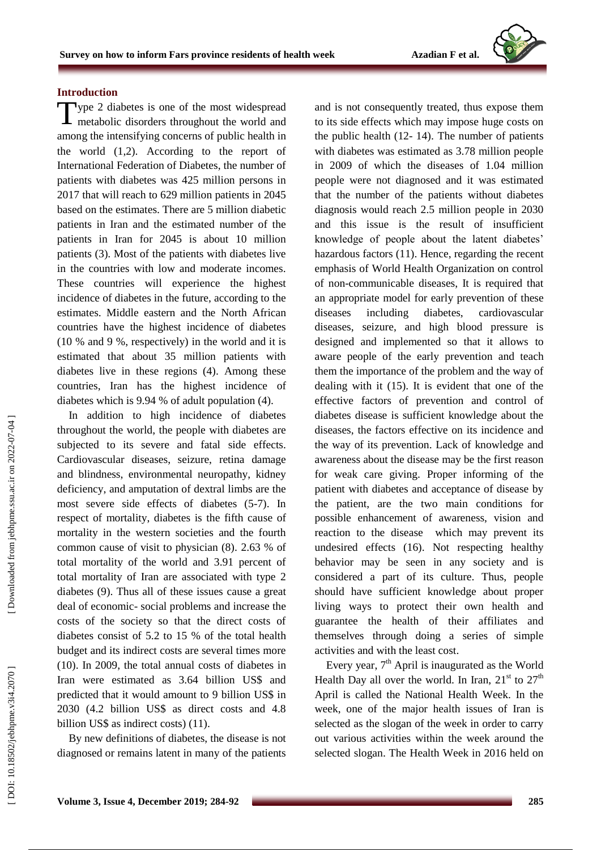## **Introduction**

Type 2 diabetes is one of the most widespread<br>metabolic disorders throughout the world and metabolic disorders throughout the world and among the intensifying concerns of public health in the world (1,2). According to the report of International Federation of Diabetes, the number of patients with diabetes was 425 million persons in 2017 that will reach to 629 million patients in 2045 based on the estimat es. There are 5 million diabetic patients in Iran and the estimated number of the patients in Iran for 2045 is about 10 million patients (3). Most of the patients with diabetes live in the countries with low and moderate incomes. These countries will experience the highest incidence of diabetes in the future, according to the estimates. Middle eastern and the North African countries have the highest incidence of diabetes (10 % and 9 %, respectively) in the world and it is estimated that about 35 million patients with diabetes live in these regions (4). Among these countries, Iran has the highest incidence of diabetes which is 9.94 % of adult population (4).

In addition to high incidence of diabetes throughout the world, the people with diabetes are subjected to its severe and fatal side effects. Cardiovascular diseases, seizure, retina damage and blindness, environmental neuropathy, kidney deficiency, and amputation of dextral limbs are the most severe side effects of diabetes (5 -7). In respect of mortality, diabetes is the fifth cause of mortality in the western societies and the fourth common cause of visit to physician (8). 2.63 % of total mortality of the world and 3.91 percent of total mortality of Iran are associated with type 2 diabetes (9). Thus all of these issues cause a great deal of economic - social problems and increase the costs of the society so that the direct costs of diabetes consist of 5.2 to 15 % of the total health budget and its indirect costs are several times more (10). In 2009, the total annual costs of diabetes in Iran were estimated as 3.64 billion US\$ and predicted that it would amount to 9 billion US\$ in 2030 (4 .2 billion US\$ as direct costs and 4.8 billion US\$ as indirect costs) (11).

By new definitions of diabetes, the disease is not diagnosed or remains latent in many of the patients and is not consequently treated, thus expose them to its side effects which may impose huge costs on the public health (12 - 14). The number of patients with diabetes was estimated as 3.78 million people in 2009 of which the diseases of 1.04 million people were not diagnosed and it was estimated that the number of the patients without diabetes diagnosis would reach 2.5 million people in 2030 and this issue is the result of insufficient knowledge of people about the latent diabetes' hazardous factors (11). Hence, regarding the recent emphasis of World Health Organization on control of non -communicable diseases, It is required that an appropriate model for early prevention of these diseases including diabetes, cardiovascular diseases, seizure, and high blood pressure is designed and implemented so that it allows to aware people of the early prevention and teach them the importance of the problem and the way of dealing with it (15). It is evident that one of the effective factors of prevention and control of diabetes disease is sufficient knowledge about the diseases, the factors effective on its incidence and the way of its prevention. Lack of knowledge and awareness about the disease may be the first reason for weak care giving. Proper informing of the patient with diabetes and acceptance of disease by the patient, are the two main conditions for possible enhancement of awareness, vision and reaction to the disease which may prevent its undesired effects (16). Not respecting healthy behavior may be seen in any society and is considered a part of its culture. Thus, people should have sufficient knowledge about proper living ways to protect their own health and guarantee the health of their affiliates and themselves through doing a series of simple activities and with the least cost.

Every year,  $7<sup>th</sup>$  April is inaugurated as the World Health Day all over the world. In Iran,  $21<sup>st</sup>$  to  $27<sup>th</sup>$ April is called the National Health Week. In the week, one of the major health issues of Iran is selected as the slogan of the week in order to carry out various activities within the week around the selected slogan. The Health Week in 2016 held on

DOI: 10.18502/jebhpme.v3i4.2070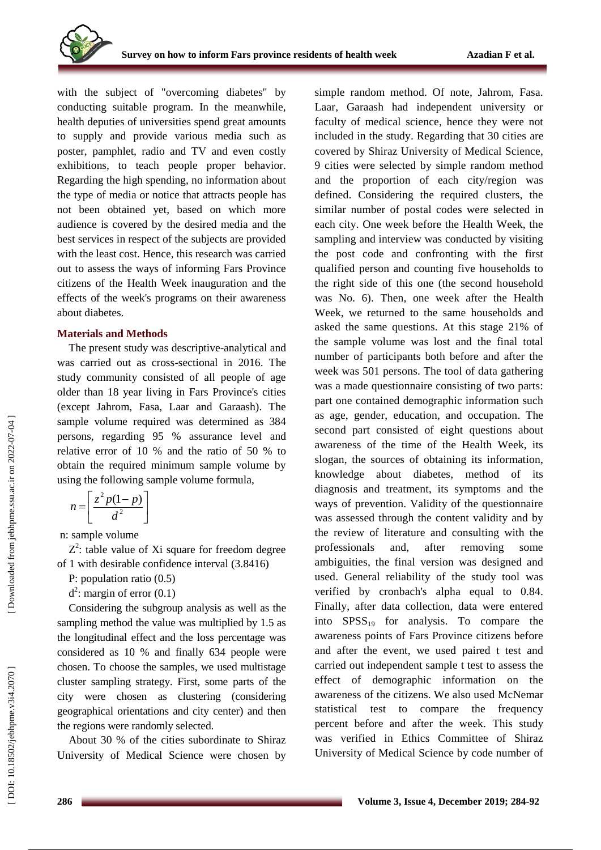with the subject of "overcoming diabetes" by conducting suitable program. In the meanwhile, health deputies of universities spend great amounts to supply and provide various media such as poster, pamphlet, radio and TV and even costly exhibitions, to teach people proper behavior. Regarding the high spending, no information about the type of media or notice that attracts people has not been obtained yet, based on which more audience is covered by the desired media and the best services in respect of the subjects are provided with the least cost. Hence, this research was carried out to assess the ways of informing Fars Province citizens of the Health Week inauguration and the effects of the week's programs on their awareness about diabetes.

### **Materials and Methods**

The present study was descriptive -analytical and was carried out as cross -sectional in 2016. The study community consisted of all people of age older than 18 year living in Fars Province's cities (except Jahrom, Fasa, Laar and Garaash). The sample volume required was determined as 384 persons, regarding 95 % assurance level and relative error of 10 % and the ratio of 50 % to obtain the required minimum sample volume by using the following sample volume formula,

$$
n = \left[\frac{z^2 p(1-p)}{d^2}\right]
$$

n: sample volume

 $Z^2$ : table value of Xi square for freedom degree of 1 with desirable confidence interval (3.8416)

P: population ratio (0.5)

 $d^2$ : margin of error (0.1)

Considering the subgroup analysis as well as the sampling method the value was multiplied by 1.5 as the longitudinal effect and the loss percentage was considered as 10 % and finally 634 people were chosen. To choose the samples, we used multistage cluster sampling strategy. First, some parts of the city were chosen as clustering (considering geographical orientations and city center) and then the regions were randomly selected.

About 30 % of the cities subordinate to Shiraz University of Medical Science were chosen by simple random method. Of note, Jahrom, Fasa. Laar, Garaash had independent university or faculty of medical science, hence they were not included in the study. Regarding that 30 cities are covered by Shiraz University of Medical Science, 9 cities were selected by simple random method and the proportion of each city/region was defined. Considering the required clusters, the similar number of postal codes were selected in each city. One week before the Health Week, the sampling and interview was conducted by visiting the post code and confronting with the first qualified person and counting five households to the right side of this one (the second household was No. 6). Then, one week after the Health Week, we returned to the same households and asked the same questions. At this stage 21% of the sample volume was lost and the final total number of participants both before and after the week was 501 persons. The tool of data gathering was a made questionnaire consisting of two parts: part one contained demographic information such as age, gender, education, and occupation. The second part consisted of eight questions about awareness of the time of the Health Week, its slogan, the sources of obtaining its information, knowledge about diabetes, method of its diagnosis and treatment, its symptoms and the ways of prevention. Validity of the questionnaire was assessed through the content validity and by the review of literature and consulting with the professionals and, after removing some ambiguities, the final version was designed and used. General reliability of the study tool was verified by cronbach's alpha equal to 0.84. Finally, after data collection, data were entered into  $SPSS_{19}$  for analysis. To compare the awareness points of Fars Province citizens before and after the event, we used paired t test and carried out independent sample t test to assess the effect of demographic information on the awareness of the citizens. We also used McNemar statistical test to compare the frequency percent before and after the week. This study was verified in Ethics Committee of Shiraz University of Medical Science by code number of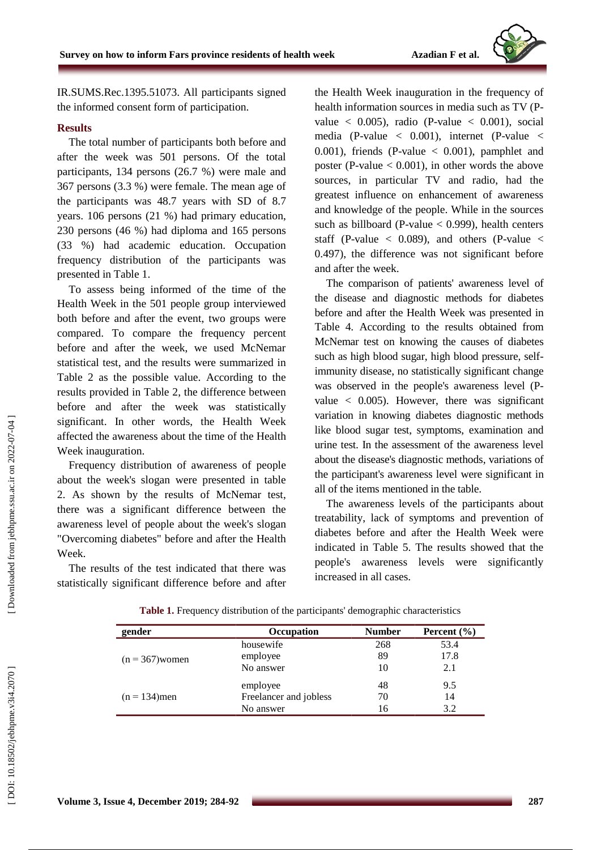

IR.SUMS.Rec.1395.51073. All participants signed the informed consent form of participation.

#### **Result s**

The total number of participants both before and after the week was 501 persons. Of the total participants, 134 persons (26.7 %) were male and 367 persons (3.3 %) were female. The mean age of the participants was 48.7 years with SD of 8.7 years. 106 persons (21 %) had primary education, 230 persons (46 %) had diploma and 165 persons (33 %) had academic education. Occupation frequency distribution of the participants was presented in Table 1.

To assess being informed of the time of the Health Week in the 501 people group interviewed both before and after the event, two groups were compared. To compare the frequency percent before and after the week, we used McNemar statistical test, and the results were summarized in Table 2 as the possible value. According to the results provided in Table 2, the difference between before and after the week was statistically significant. In other words, the Health Week affected the awareness about the time of the Health Week inauguration.

Frequency distribution of awareness of people about the week's slogan were presented in table 2. As shown by the results of McNemar test, there was a significant difference between the awareness level of people about the week's slogan "Overcoming diabetes" before and after the Health Week.

The results of the test indicated that there was statistically significant difference before and after the Health Week inauguration in the frequency of health information sources in media such as TV (Pvalue  $\langle 0.005 \rangle$ , radio (P-value  $\langle 0.001 \rangle$ , social media ( P -value < 0.001), internet ( P -value <  $0.001$ ), friends (P-value  $< 0.001$ ), pamphlet and poster (P-value  $< 0.001$ ), in other words the above sources, in particular TV and radio, had the greatest influence on enhancement of awareness and knowledge of the people. While in the sources such as billboard (P -valu e < 0.999), health centers staff (P-value  $\langle$  0.089), and others (P-value  $\langle$ 0.497), the difference was not significant before and after the week.

The comparison of patients' awareness level of the disease and diagnostic methods for diabetes before and after the Health Week was presented in Table 4. According to the results obtained from McNemar test on knowing the causes of diabetes such as high blood sugar, high blood pressure, self immunity disease, no statistically significant change was observed in the people's awareness level (Pvalue < 0.005). However, there was significant variation in knowing diabetes diagnostic methods like blood sugar test, symptoms, examination and urine test. In the assessment of the awareness level about the disease's diagnostic methods, variations of the participant's awareness level were significant in all of the items mentioned in the table.

The awareness levels of the participants about treatability, lack of symptoms and prevention of diabetes before and after the Health Week were indicated in Table 5. The results showed that the people's awareness levels were significantly increased in all cases.

| gender            | Occupation             | <b>Number</b> | Percent $(\% )$ |
|-------------------|------------------------|---------------|-----------------|
|                   | housewife              | 268           | 53.4            |
| $(n = 367)$ women | employee               | 89            | 17.8            |
|                   | No answer              | 10            | 2.1             |
|                   | employee               | 48            | 9.5             |
| $(n = 134)$ men   | Freelancer and jobless | 70            | 14              |
|                   | No answer              | 16            | 3.2             |

**Table 1.** Frequency distribution of the participants' demographic characteristics

Downloaded from jebhpme.ssu.ac.ir on 2022-07-04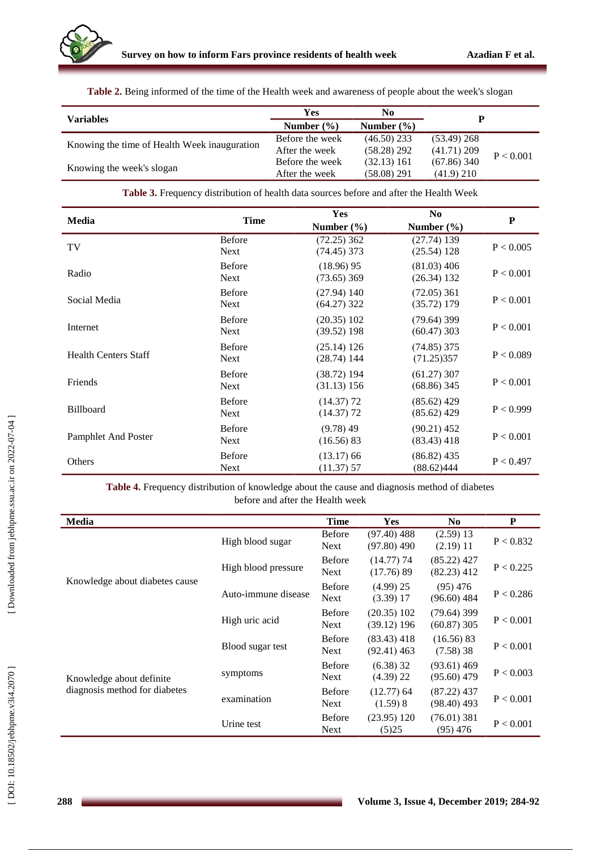

|  | Table 2. Being informed of the time of the Health week and awareness of people about the week's slogan |  |  |  |
|--|--------------------------------------------------------------------------------------------------------|--|--|--|
|--|--------------------------------------------------------------------------------------------------------|--|--|--|

| <b>Variables</b>                             | Yes             | N <sub>0</sub> |               |           |  |
|----------------------------------------------|-----------------|----------------|---------------|-----------|--|
|                                              | Number $(\% )$  | Number $(\% )$ |               |           |  |
| Knowing the time of Health Week inauguration | Before the week | $(46.50)$ 233  | $(53.49)$ 268 |           |  |
|                                              | After the week  | $(58.28)$ 292  | (41.71) 209   | P < 0.001 |  |
|                                              | Before the week | (32.13) 161    | $(67.86)$ 340 |           |  |
| Knowing the week's slogan                    | After the week  | $(58.08)$ 291  | $(41.9)$ 210  |           |  |

| <b>Table 3.</b> Frequency distribution of health data sources before and after the Health Week |  |  |  |  |  |  |
|------------------------------------------------------------------------------------------------|--|--|--|--|--|--|
|------------------------------------------------------------------------------------------------|--|--|--|--|--|--|

| Media                       | <b>Time</b>                  | Yes                            | $\bf No$                       | ${\bf P}$            |
|-----------------------------|------------------------------|--------------------------------|--------------------------------|----------------------|
|                             |                              | Number $(\% )$                 | Number $(\% )$                 |                      |
| TV                          | <b>Before</b><br><b>Next</b> | $(72.25)$ 362<br>$(74.45)$ 373 | (27.74) 139<br>(25.54) 128     | $\mathrm{P} < 0.005$ |
| Radio                       | <b>Before</b><br><b>Next</b> | $(18.96)$ 95<br>$(73.65)$ 369  | $(81.03)$ 406<br>(26.34) 132   | P < 0.001            |
| Social Media                | <b>Before</b><br><b>Next</b> | $(27.94)$ 140<br>$(64.27)$ 322 | $(72.05)$ 361<br>(35.72) 179   | P < 0.001            |
| Internet                    | <b>Before</b><br><b>Next</b> | $(20.35)$ 102<br>$(39.52)$ 198 | $(79.64)$ 399<br>$(60.47)$ 303 | P < 0.001            |
| <b>Health Centers Staff</b> | <b>Before</b><br><b>Next</b> | (25.14) 126<br>$(28.74)$ 144   | $(74.85)$ 375<br>(71.25)357    | P < 0.089            |
| Friends                     | <b>Before</b><br><b>Next</b> | $(38.72)$ 194<br>(31.13) 156   | $(61.27)$ 307<br>$(68.86)$ 345 | P < 0.001            |
| <b>Billboard</b>            | <b>Before</b><br><b>Next</b> | $(14.37)$ 72<br>$(14.37)$ 72   | $(85.62)$ 429<br>$(85.62)$ 429 | P < 0.999            |
| <b>Pamphlet And Poster</b>  | <b>Before</b><br><b>Next</b> | $(9.78)$ 49<br>(16.56) 83      | $(90.21)$ 452<br>$(83.43)$ 418 | P < 0.001            |
| Others                      | <b>Before</b><br><b>Next</b> | $(13.17)$ 66<br>(11.37) 57     | (86.82) 435<br>(88.62)444      | P < 0.497            |

**Table 4.** Frequency distribution of knowledge about the cause and diagnosis method of diabetes before and after the Health week

| Media                          |                     | <b>Time</b>                  | <b>Yes</b>                     | N <sub>0</sub>                 | P         |
|--------------------------------|---------------------|------------------------------|--------------------------------|--------------------------------|-----------|
|                                | High blood sugar    | <b>Before</b><br><b>Next</b> | $(97.40)$ 488<br>$(97.80)$ 490 | $(2.59)$ 13<br>$(2.19)$ 11     | P < 0.832 |
|                                | High blood pressure | <b>Before</b><br><b>Next</b> | $(14.77)$ 74<br>(17.76) 89     | $(85.22)$ 427<br>$(82.23)$ 412 | P < 0.225 |
| Knowledge about diabetes cause | Auto-immune disease | <b>Before</b><br><b>Next</b> | $(4.99)$ 25<br>(3.39) 17       | $(95)$ 476<br>$(96.60)$ 484    | P < 0.286 |
|                                | High uric acid      | <b>Before</b><br><b>Next</b> | $(20.35)$ 102<br>$(39.12)$ 196 | $(79.64)$ 399<br>$(60.87)$ 305 | P < 0.001 |
|                                | Blood sugar test    | <b>Before</b><br><b>Next</b> | $(83.43)$ 418<br>$(92.41)$ 463 | (16.56) 83<br>(7.58)38         | P < 0.001 |
| Knowledge about definite       | symptoms            | <b>Before</b><br><b>Next</b> | $(6.38)$ 32<br>$(4.39)$ 22     | $(93.61)$ 469<br>$(95.60)$ 479 | P < 0.003 |
| diagnosis method for diabetes  | examination         | <b>Before</b><br><b>Next</b> | $(12.77)$ 64<br>(1.59)8        | $(87.22)$ 437<br>$(98.40)$ 493 | P < 0.001 |
|                                | Urine test          | <b>Before</b><br><b>Next</b> | $(23.95)$ 120<br>(5)25         | $(76.01)$ 381<br>$(95)$ 476    | P < 0.001 |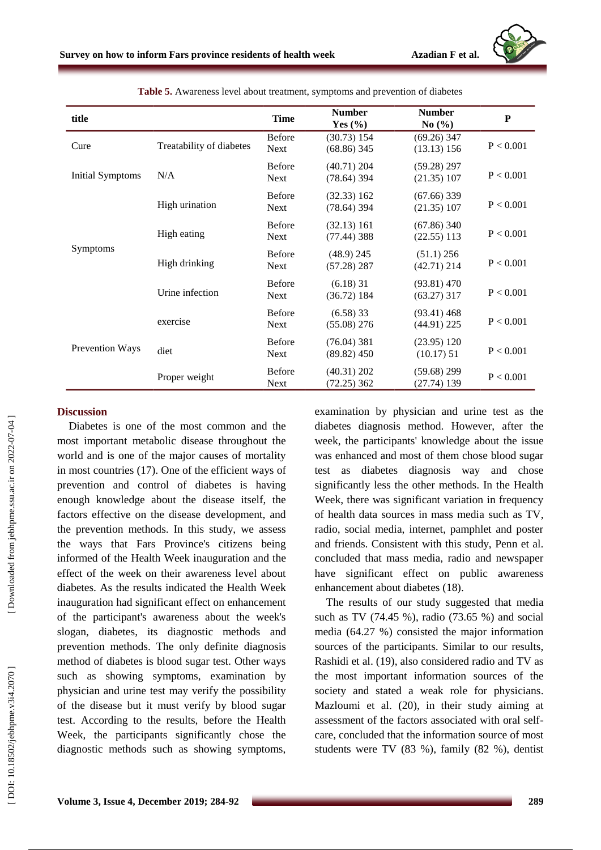

| title                   |                          | <b>Time</b>                  | <b>Number</b><br>Yes $(\% )$   | <b>Number</b><br>No $(\% )$    | ${\bf P}$ |
|-------------------------|--------------------------|------------------------------|--------------------------------|--------------------------------|-----------|
| Cure                    | Treatability of diabetes | <b>Before</b><br>Next        | (30.73) 154<br>$(68.86)$ 345   | $(69.26)$ 347<br>(13.13) 156   | P < 0.001 |
| <b>Initial Symptoms</b> | N/A                      | <b>Before</b><br><b>Next</b> | $(40.71)$ 204<br>$(78.64)$ 394 | $(59.28)$ 297<br>(21.35) 107   | P < 0.001 |
| <b>Symptoms</b>         | High urination           | <b>Before</b><br><b>Next</b> | (32.33) 162<br>$(78.64)$ 394   | $(67.66)$ 339<br>(21.35) 107   | P < 0.001 |
|                         | High eating              | <b>Before</b><br><b>Next</b> | (32.13) 161<br>$(77.44)$ 388   | $(67.86)$ 340<br>$(22.55)$ 113 | P < 0.001 |
|                         | High drinking            | <b>Before</b><br>Next        | $(48.9)$ 245<br>$(57.28)$ 287  | $(51.1)$ 256<br>$(42.71)$ 214  | P < 0.001 |
|                         | Urine infection          | <b>Before</b><br>Next        | $(6.18)$ 31<br>(36.72) 184     | $(93.81)$ 470<br>$(63.27)$ 317 | P < 0.001 |
| <b>Prevention Ways</b>  | exercise                 | <b>Before</b><br>Next        | $(6.58)$ 33<br>$(55.08)$ 276   | $(93.41)$ 468<br>$(44.91)$ 225 | P < 0.001 |
|                         | diet                     | <b>Before</b><br><b>Next</b> | $(76.04)$ 381<br>$(89.82)$ 450 | $(23.95)$ 120<br>$(10.17)$ 51  | P < 0.001 |
|                         | Proper weight            | <b>Before</b><br>Next        | $(40.31)$ 202<br>$(72.25)$ 362 | $(59.68)$ 299<br>(27.74) 139   | P < 0.001 |

**Table 5.** Awareness level about treatment, symptoms and prevention of diabetes

### **Discussion**

Diabetes is one of the most common and the most important metabolic disease throughout the world and is one of the major causes of mortality in most countries (17). One of the efficient ways of prevention and control of diabetes is having enough knowledge about the disease itself, the factors effective on the disease development, and the prevention methods. In this study, we assess the ways that Fars Province's citizens being informed of the Health Week inauguration and the effect of the week on their awareness level about diabetes. As the results indicated the Health Week inauguration had significant effect on enhancement of the participant's awareness about the week's slogan, diabetes, its diagnostic methods and prevention methods. The only definite diagnosis method of diabetes is blood sugar test. Other ways such as showing symptoms, examination by physician and urine test may verify the possibility of the disease but it must verify by blood sugar test. According to the results, before the Health Week, the participants significantly chose the diagnostic methods such as showing symptoms,

examination by physician and urine test as the diabetes diagnosis method. However, after the week, the participants' knowledge about the issue was enhanced and most of them chose blood sugar test as diabetes diagnosis way and chose significantly less the other methods. In the Health Week, there was significant variation in frequency of health data sources in mass media such as TV, radio, social media, internet, pamphlet and poster and friends. Consistent with this study, Penn et al. concluded that mass media, radio and newspaper have significant effect on public awareness enhancement about diabetes (18).

The results of our study suggested that media such as TV (74.45 %), radio (73.65 %) and social media (64.27 %) consisted the major information sources of the participants. Similar to our results, Rashidi et al. (19) , also considered radio and TV as the most important information sources of the society and stated a weak role for physicians . Mazloumi et al. (20), in their study aiming at assessment of the factors associated with oral self care, concluded that the information source of most students were TV (83 %), family (82 %), dentist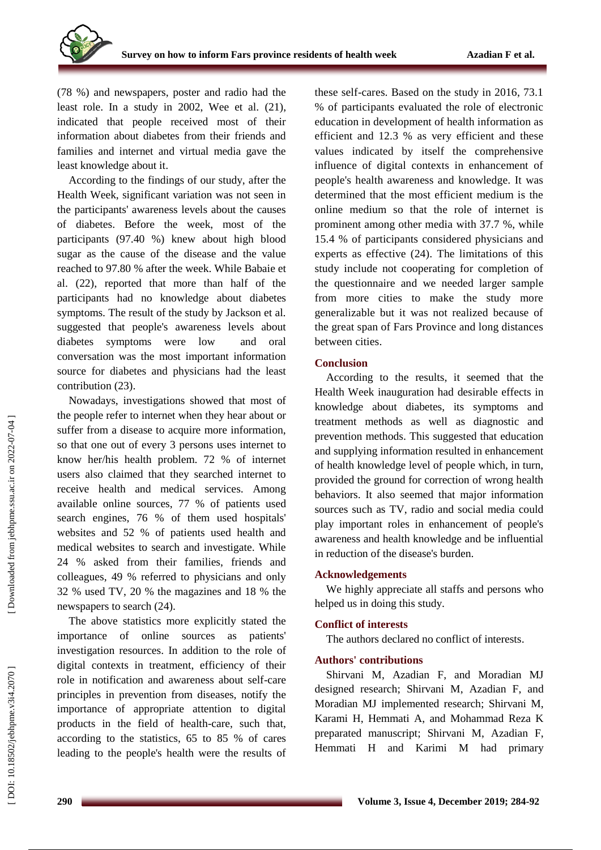(78 %) and newspapers, poster and radio had the least role. In a study in 2002, Wee et al. (21), indicated that people received most of their information about diabetes from their friends and families and internet and virtual media gave the least knowledge about it.

According to the findings of our study, after the Health Week, significant variation was not seen in the participants' awareness levels about the causes of diabetes. Before the week, most of the participants (97.40 %) knew about high blood sugar as the cause of the disease and the value reached to 97.80 % after the week. While Babaie et al. (22) , rep orted that more than half of the participants had no knowledge about diabetes symptoms. The result of the study by Jackson et al. suggested that people's awareness levels about diabetes symptoms were low and oral conversation was the most important information source for diabetes and physicians had the least contribution (23).

Nowadays, investigations showed that most of the people refer to internet when they hear about or suffer from a disease to acquire more information, so that one out of every 3 persons uses internet to know her/his health problem. 72 % of internet users also claimed that they searched internet to receive health and medical services. Among available online sources, 77 % of patients used search engines, 76 % of them used hospitals' websites and 52 % of patients used health and medical websites to search and investigate. While 24 % asked from their families, friends and colleagues, 49 % referred to physicians and only 32 % used TV, 20 % the magazines and 18 % the newspapers to search (24).

The above statistics more explicitly stated the importance of online sources as patients' investigation resources. In addition to the role of digital contexts in treatment, efficiency of their role in notification and awareness about self -care principles in prevention from diseases, notify the importance of appropriate attention to digital products in the field of health -care, such that, according to the statistics, 65 to 85 % of cares leading to the people's health were the results of

these self -cares. Based on the study in 2016, 73.1 % of participants evaluated the role of electronic education in development of health information as efficient and 12.3 % as very efficient and these values indicated by itself the comprehensive influence of digital contexts in enhancement of people's health awareness and knowledge. It was determined that the most efficient medium is the online medium so that the role of internet is prominent among other media with 37.7 %, while 15.4 % of participants considered physicians and experts as effective (24). The limitations of this study include not cooperating for completion of the questionnaire and we needed larger sample from more cities to make the study more generalizable but it was not realized because of the great span of Fars Province and long distances between cities.

### **Conclusion**

According to the results, it seemed that the Health Week inauguration had desirable effects in knowledge about diabetes, its symptoms and treatment methods as well as diagnostic and prevention methods. This suggested that education and supplying information resulted in enhancement of health knowledge level of people which, in turn, provided the ground for correction of wrong health behaviors. It also seemed that major information sources such as TV, radio and social media could play important roles in enhancement of people's awareness and health knowledge and be influential in reduction of the disease's burden.

### **Acknowledgements**

We highly appreciate all staffs and persons who helped us in doing this study.

### **Conflict of interest s**

The authors declared no conflict of interests .

### **Authors' contributions**

Shirvani M , Azadian F , and Moradian MJ designed research ; Shirvani M , Azadian F, and Moradian MJ implemented research ; Shirvani M, Karami H, Hemmati A, and Mohammad Reza K preparated manuscript; Shirvani M , Azadian F, Hemmati H and Karimi M had primary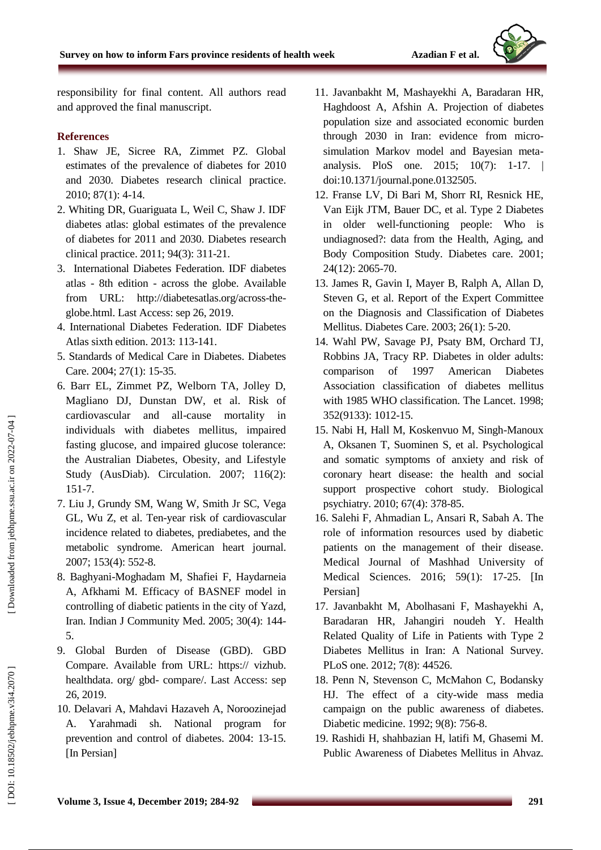

responsibility for final content. All authors read and approved the final manuscript .

## **References**

- 1. Shaw JE, Sicree RA, Zimmet PZ. Global estimates of the prevalence of diabetes for 2010 and 2030. Diabetes research clinical practice. 2010; 87(1): 4 -14.
- 2. Whiting DR, Guariguata L, Weil C, Shaw J. IDF diabetes atlas: global estimates of the prevalence of diabetes for 2011 and 2030. Diabetes research clinical practice. 2011; 94(3): 311 -21.
- [3.](https://diabetesatlas.org/across-the-globe.html) [International Diabetes Federation. IDF](https://diabetesatlas.org/across-the-globe.html) diabetes [atlas](https://diabetesatlas.org/across-the-globe.html)  - 8th edition - across the globe. Available from URL: http://diabetesatlas.org/across-theglobe.html. Last Access: sep 26, 2019.
- 4. International Diabetes Federation. IDF Diabetes Atlas sixth edition. 2013: 113 -141.
- 5. Standards of Medical Care in Diabetes. Diabetes Care. 2004; 27(1): 15-35.
- 6. Barr EL, Zimmet PZ, Welborn TA, Jolley D, Magliano DJ, Dunstan DW, et al. Risk of cardiovascular and all-cause mortality in individuals with diabetes mellitus, impaired fasting glucose, and impaired glucose tolerance: the Australian Diabetes, Obesity, and Lifestyle Study (AusDiab). Circulation. 2007; 116(2): 151 -7.
- 7. Liu J, Grundy SM, Wang W, Smith Jr SC, Vega GL, Wu Z, et al. Ten -year risk of cardiovascular incidence related to diabetes, prediabetes, and the metabolic syndrome. American heart journal. 2007; 153(4): 552 -8.
- 8. Baghyani -Moghadam M, Shafiei F, Haydarneia A, Afkhami M. Efficacy of BASNEF model in controlling of diabetic patients in the city of Yazd, Iran. Indian J Community Med. 2005; 30(4): 144 - 5 .
- 9. Global Burden of Disease (GBD). GBD Compare. Available from URL: https:// vizhub. healthdata. org/ gbd - compare/. Last Access: sep 26, 2019.
- 10. Delavari A, Mahdavi Hazaveh A, Noroozinejad A. Yarahmadi sh. National program for prevention and control of diabetes. 2004: 13 -15. [In Persian]
- 11. Javanbakht M, Mashayekhi A, Baradaran HR, Haghdoost A, Afshin A. Projection of diabetes population size and associated economic burden through 2030 in Iran: evidence from micro simulation Markov model and Bayesian meta analysis. PloS one. 2015; 10(7): 1 -17. | doi:10.1371/journal.pone.0132505 .
- 12. Franse LV, Di Bari M, Shorr RI, Resnick HE, Van Eijk JTM, Bauer DC, et al. Type 2 Diabetes in older well -functioning people: Who is undiagnosed?: data from the Health, Aging, and Body Composition Study. Diabetes care. 2001; 24(12): 2065 -70.
- 13. James R, Gavin I, Mayer B, Ralph A, Allan D, Steven G, et al. Report of the Expert Committee on the Diagnosis and Classification of Diabetes Mellitus. Diabetes Care. 2003; 26(1): 5 -20.
- 14. Wahl PW, Savage PJ, Psaty BM, Orchard TJ, Robbins JA, Tracy RP. Diabetes in older adults: comparison of 1997 American Diabetes Association classification of diabetes mellitus with 1985 WHO classification. The Lancet. 1998; 352(9133): 1012 -15.
- 15. Nabi H, Hall M, Koskenvuo M, Singh -Manoux A, Oksanen T, Suominen S, et al. Psychological and somatic symptoms of anxiety and risk of coronary heart disease: the health and social support prospective cohort study. Biological psychiatry. 2010; 67(4): 378 -85.
- 16. Salehi F, Ahmadian L, Ansari R, Sabah A. The role of information resources used by diabetic patients on the management of their disease. Medical Journal of Mashhad University of Medical Sciences. 2016; 59(1): 17 -25. [In Persian]
- 17. Javanbakht M, Abolhasani F, Mashayekhi A, Baradaran HR, Jahangiri noudeh Y. Health Related Quality of Life in Patients with Type 2 Diabetes Mellitus in Iran: A National Survey. PLoS one. 2012; 7(8): 44526.
- 18. Penn N, Stevenson C, McMahon C, Bodansky HJ. The effect of a city -wide mass media campaign on the public awareness of diabetes. Diabetic medicine. 1992; 9(8): 756 -8.
- 19. Rashidi H, shahbazian H, latifi M, Ghasemi M. Public Awareness of Diabetes Mellitus in Ahvaz.